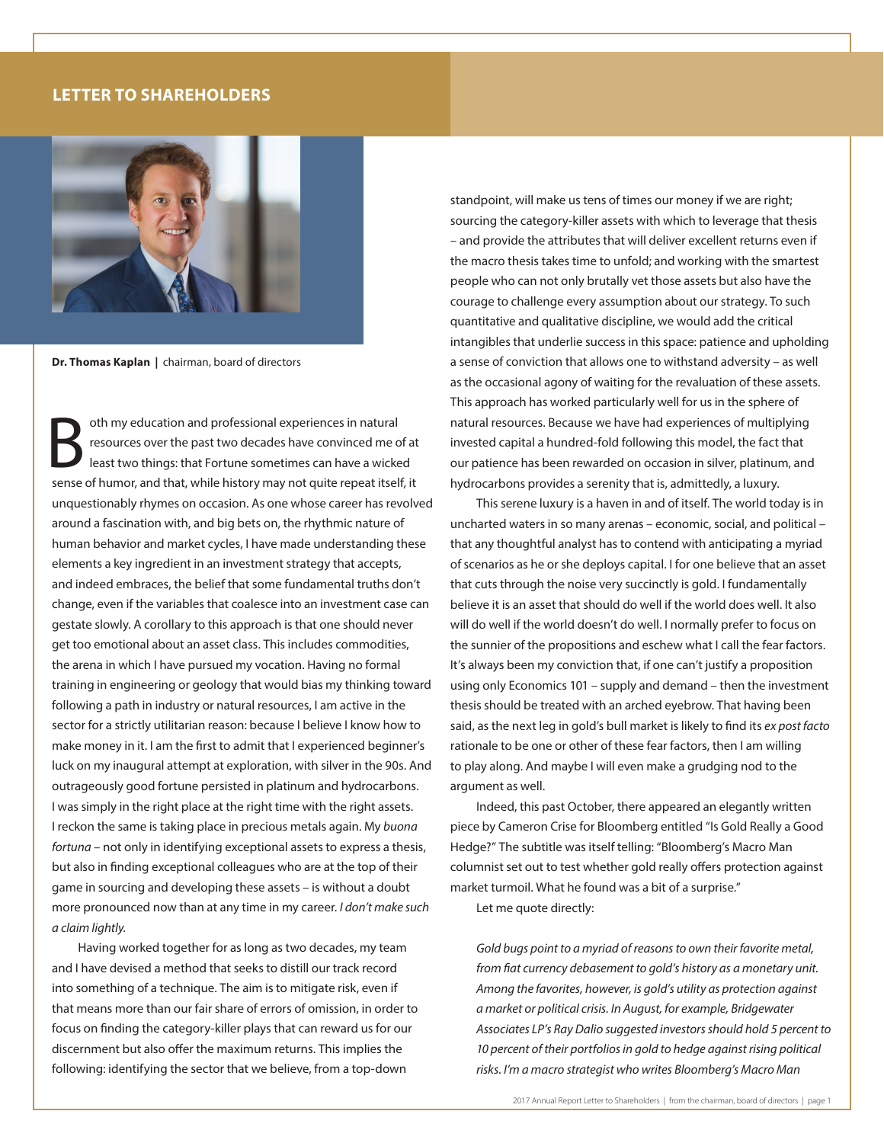## **LETTER TO SHAREHOLDERS**



**Dr. Thomas Kaplan |** chairman, board of directors

oth my education and professional experiences in natural resources over the past two decades have convinced me of at least two things: that Fortune sometimes can have a wicked sense of humor, and that, while history may not quite repeat itself, it unquestionably rhymes on occasion. As one whose career has revolved around a fascination with, and big bets on, the rhythmic nature of human behavior and market cycles, I have made understanding these elements a key ingredient in an investment strategy that accepts, and indeed embraces, the belief that some fundamental truths don't change, even if the variables that coalesce into an investment case can gestate slowly. A corollary to this approach is that one should never get too emotional about an asset class. This includes commodities, the arena in which I have pursued my vocation. Having no formal training in engineering or geology that would bias my thinking toward following a path in industry or natural resources, I am active in the sector for a strictly utilitarian reason: because I believe I know how to make money in it. I am the first to admit that I experienced beginner's luck on my inaugural attempt at exploration, with silver in the 90s. And outrageously good fortune persisted in platinum and hydrocarbons. I was simply in the right place at the right time with the right assets. I reckon the same is taking place in precious metals again. My *buona fortuna* – not only in identifying exceptional assets to express a thesis, but also in finding exceptional colleagues who are at the top of their game in sourcing and developing these assets – is without a doubt more pronounced now than at any time in my career. *I don't make such a claim lightly.*

Having worked together for as long as two decades, my team and I have devised a method that seeks to distill our track record into something of a technique. The aim is to mitigate risk, even if that means more than our fair share of errors of omission, in order to focus on finding the category-killer plays that can reward us for our discernment but also offer the maximum returns. This implies the following: identifying the sector that we believe, from a top-down

standpoint, will make us tens of times our money if we are right; sourcing the category-killer assets with which to leverage that thesis – and provide the attributes that will deliver excellent returns even if the macro thesis takes time to unfold; and working with the smartest people who can not only brutally vet those assets but also have the courage to challenge every assumption about our strategy. To such quantitative and qualitative discipline, we would add the critical intangibles that underlie success in this space: patience and upholding a sense of conviction that allows one to withstand adversity – as well as the occasional agony of waiting for the revaluation of these assets. This approach has worked particularly well for us in the sphere of natural resources. Because we have had experiences of multiplying invested capital a hundred-fold following this model, the fact that our patience has been rewarded on occasion in silver, platinum, and hydrocarbons provides a serenity that is, admittedly, a luxury.

This serene luxury is a haven in and of itself. The world today is in uncharted waters in so many arenas – economic, social, and political – that any thoughtful analyst has to contend with anticipating a myriad of scenarios as he or she deploys capital. I for one believe that an asset that cuts through the noise very succinctly is gold. I fundamentally believe it is an asset that should do well if the world does well. It also will do well if the world doesn't do well. I normally prefer to focus on the sunnier of the propositions and eschew what I call the fear factors. It's always been my conviction that, if one can't justify a proposition using only Economics 101 – supply and demand – then the investment thesis should be treated with an arched eyebrow. That having been said, as the next leg in gold's bull market is likely to find its *ex post facto* rationale to be one or other of these fear factors, then I am willing to play along. And maybe I will even make a grudging nod to the argument as well.

Indeed, this past October, there appeared an elegantly written piece by Cameron Crise for Bloomberg entitled "Is Gold Really a Good Hedge?" The subtitle was itself telling: "Bloomberg's Macro Man columnist set out to test whether gold really offers protection against market turmoil. What he found was a bit of a surprise."

Let me quote directly:

*Gold bugs point to a myriad of reasons to own their favorite metal, from fiat currency debasement to gold's history as a monetary unit. Among the favorites, however, is gold's utility as protection against a market or political crisis. In August, for example, Bridgewater Associates LP's Ray Dalio suggested investors should hold 5 percent to 10 percent of their portfolios in gold to hedge against rising political risks. I'm a macro strategist who writes Bloomberg's Macro Man*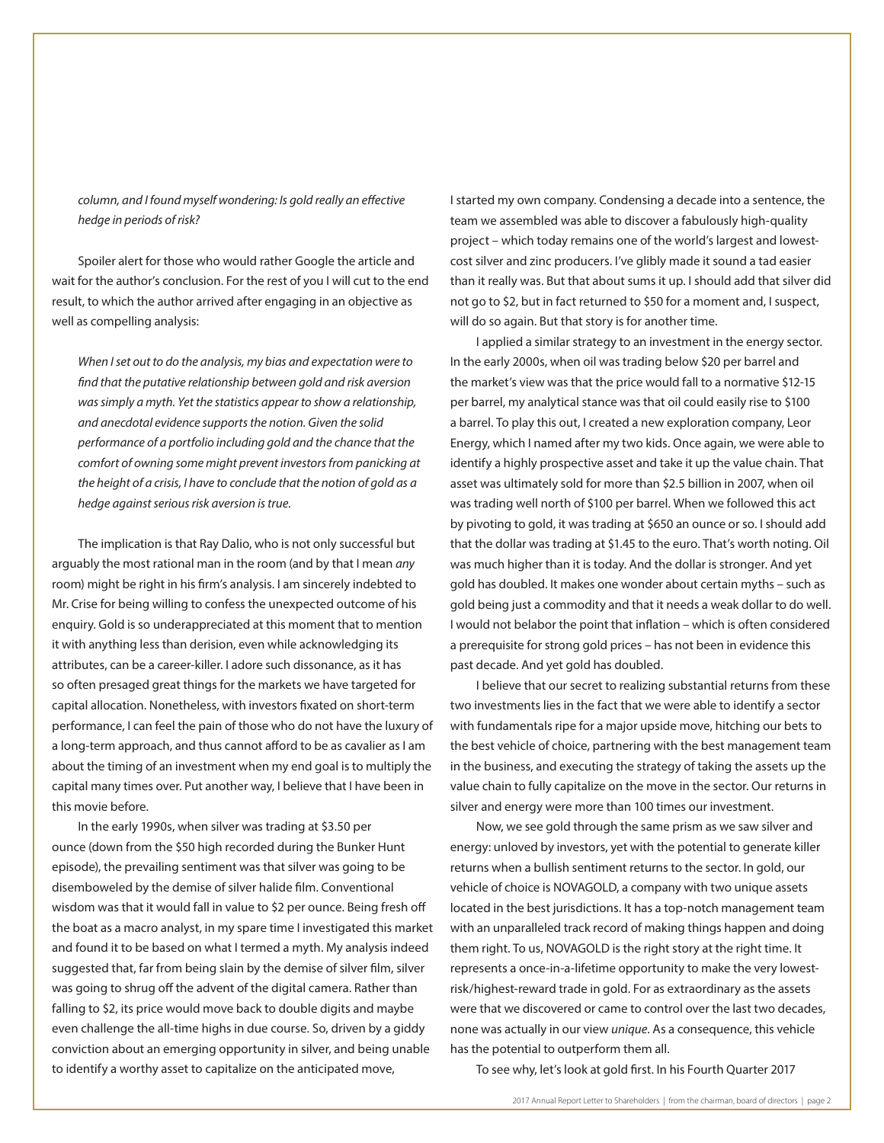*column, and I found myself wondering: Is gold really an effective hedge in periods of risk?*

Spoiler alert for those who would rather Google the article and wait for the author's conclusion. For the rest of you I will cut to the end result, to which the author arrived after engaging in an objective as well as compelling analysis:

*When I set out to do the analysis, my bias and expectation were to find that the putative relationship between gold and risk aversion was simply a myth. Yet the statistics appear to show a relationship, and anecdotal evidence supports the notion. Given the solid performance of a portfolio including gold and the chance that the comfort of owning some might prevent investors from panicking at the height of a crisis, I have to conclude that the notion of gold as a hedge against serious risk aversion is true.*

The implication is that Ray Dalio, who is not only successful but arguably the most rational man in the room (and by that I mean *any* room) might be right in his firm's analysis. I am sincerely indebted to Mr. Crise for being willing to confess the unexpected outcome of his enquiry. Gold is so underappreciated at this moment that to mention it with anything less than derision, even while acknowledging its attributes, can be a career-killer. I adore such dissonance, as it has so often presaged great things for the markets we have targeted for capital allocation. Nonetheless, with investors fixated on short-term performance, I can feel the pain of those who do not have the luxury of a long-term approach, and thus cannot afford to be as cavalier as I am about the timing of an investment when my end goal is to multiply the capital many times over. Put another way, I believe that I have been in this movie before.

In the early 1990s, when silver was trading at \$3.50 per ounce (down from the \$50 high recorded during the Bunker Hunt episode), the prevailing sentiment was that silver was going to be disemboweled by the demise of silver halide film. Conventional wisdom was that it would fall in value to \$2 per ounce. Being fresh off the boat as a macro analyst, in my spare time I investigated this market and found it to be based on what I termed a myth. My analysis indeed suggested that, far from being slain by the demise of silver film, silver was going to shrug off the advent of the digital camera. Rather than falling to \$2, its price would move back to double digits and maybe even challenge the all-time highs in due course. So, driven by a giddy conviction about an emerging opportunity in silver, and being unable to identify a worthy asset to capitalize on the anticipated move,

I started my own company. Condensing a decade into a sentence, the team we assembled was able to discover a fabulously high-quality project – which today remains one of the world's largest and lowestcost silver and zinc producers. I've glibly made it sound a tad easier than it really was. But that about sums it up. I should add that silver did not go to \$2, but in fact returned to \$50 for a moment and, I suspect, will do so again. But that story is for another time.

I applied a similar strategy to an investment in the energy sector. In the early 2000s, when oil was trading below \$20 per barrel and the market's view was that the price would fall to a normative \$12-15 per barrel, my analytical stance was that oil could easily rise to \$100 a barrel. To play this out, I created a new exploration company, Leor Energy, which I named after my two kids. Once again, we were able to identify a highly prospective asset and take it up the value chain. That asset was ultimately sold for more than \$2.5 billion in 2007, when oil was trading well north of \$100 per barrel. When we followed this act by pivoting to gold, it was trading at \$650 an ounce or so. I should add that the dollar was trading at \$1.45 to the euro. That's worth noting. Oil was much higher than it is today. And the dollar is stronger. And yet gold has doubled. It makes one wonder about certain myths – such as gold being just a commodity and that it needs a weak dollar to do well. I would not belabor the point that inflation – which is often considered a prerequisite for strong gold prices – has not been in evidence this past decade. And yet gold has doubled.

I believe that our secret to realizing substantial returns from these two investments lies in the fact that we were able to identify a sector with fundamentals ripe for a major upside move, hitching our bets to the best vehicle of choice, partnering with the best management team in the business, and executing the strategy of taking the assets up the value chain to fully capitalize on the move in the sector. Our returns in silver and energy were more than 100 times our investment.

Now, we see gold through the same prism as we saw silver and energy: unloved by investors, yet with the potential to generate killer returns when a bullish sentiment returns to the sector. In gold, our vehicle of choice is NOVAGOLD, a company with two unique assets located in the best jurisdictions. It has a top-notch management team with an unparalleled track record of making things happen and doing them right. To us, NOVAGOLD is the right story at the right time. It represents a once-in-a-lifetime opportunity to make the very lowestrisk/highest-reward trade in gold. For as extraordinary as the assets were that we discovered or came to control over the last two decades, none was actually in our view *unique*. As a consequence, this vehicle has the potential to outperform them all.

To see why, let's look at gold first. In his Fourth Quarter 2017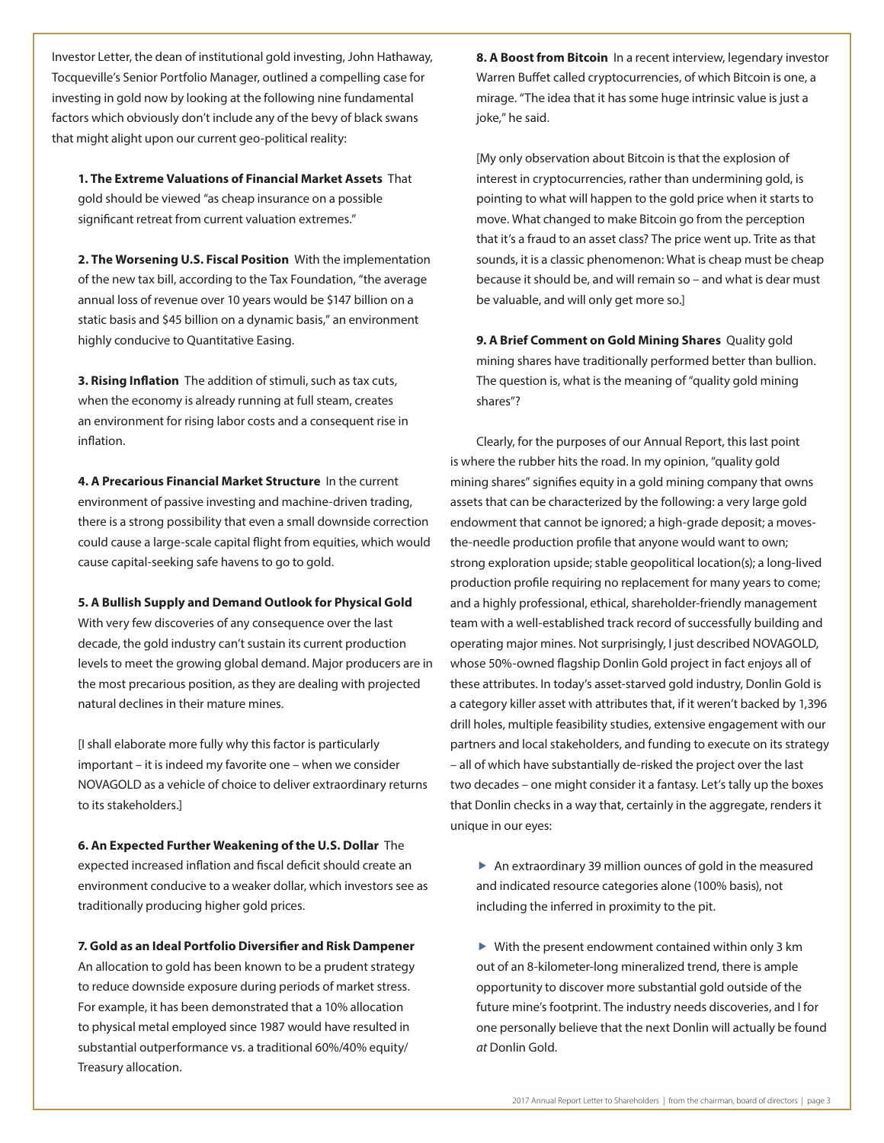Investor Letter, the dean of institutional gold investing, John Hathaway, Tocqueville's Senior Portfolio Manager, outlined a compelling case for investing in gold now by looking at the following nine fundamental factors which obviously don't include any of the bevy of black swans that might alight upon our current geo-political reality:

**1. The Extreme Valuations of Financial Market Assets** That gold should be viewed "as cheap insurance on a possible significant retreat from current valuation extremes."

**2. The Worsening U.S. Fiscal Position** With the implementation of the new tax bill, according to the Tax Foundation, "the average annual loss of revenue over 10 years would be \$147 billion on a static basis and \$45 billion on a dynamic basis," an environment highly conducive to Quantitative Easing.

**3. Rising Inflation** The addition of stimuli, such as tax cuts, when the economy is already running at full steam, creates an environment for rising labor costs and a consequent rise in inflation.

**4. A Precarious Financial Market Structure** In the current environment of passive investing and machine-driven trading, there is a strong possibility that even a small downside correction could cause a large-scale capital flight from equities, which would cause capital-seeking safe havens to go to gold.

## **5. A Bullish Supply and Demand Outlook for Physical Gold**

With very few discoveries of any consequence over the last decade, the gold industry can't sustain its current production levels to meet the growing global demand. Major producers are in the most precarious position, as they are dealing with projected natural declines in their mature mines.

[I shall elaborate more fully why this factor is particularly important – it is indeed my favorite one – when we consider NOVAGOLD as a vehicle of choice to deliver extraordinary returns to its stakeholders.]

**6. An Expected Further Weakening of the U.S. Dollar** The expected increased inflation and fiscal deficit should create an environment conducive to a weaker dollar, which investors see as traditionally producing higher gold prices.

## **7. Gold as an Ideal Portfolio Diversifier and Risk Dampener**

An allocation to gold has been known to be a prudent strategy to reduce downside exposure during periods of market stress. For example, it has been demonstrated that a 10% allocation to physical metal employed since 1987 would have resulted in substantial outperformance vs. a traditional 60%/40% equity/ Treasury allocation.

**8. A Boost from Bitcoin** In a recent interview, legendary investor Warren Buffet called cryptocurrencies, of which Bitcoin is one, a mirage. "The idea that it has some huge intrinsic value is just a joke," he said.

[My only observation about Bitcoin is that the explosion of interest in cryptocurrencies, rather than undermining gold, is pointing to what will happen to the gold price when it starts to move. What changed to make Bitcoin go from the perception that it's a fraud to an asset class? The price went up. Trite as that sounds, it is a classic phenomenon: What is cheap must be cheap because it should be, and will remain so – and what is dear must be valuable, and will only get more so.]

**9. A Brief Comment on Gold Mining Shares** Quality gold mining shares have traditionally performed better than bullion. The question is, what is the meaning of "quality gold mining shares"?

Clearly, for the purposes of our Annual Report, this last point is where the rubber hits the road. In my opinion, "quality gold mining shares" signifies equity in a gold mining company that owns assets that can be characterized by the following: a very large gold endowment that cannot be ignored; a high-grade deposit; a movesthe-needle production profile that anyone would want to own; strong exploration upside; stable geopolitical location(s); a long-lived production profile requiring no replacement for many years to come; and a highly professional, ethical, shareholder-friendly management team with a well-established track record of successfully building and operating major mines. Not surprisingly, I just described NOVAGOLD, whose 50%-owned flagship Donlin Gold project in fact enjoys all of these attributes. In today's asset-starved gold industry, Donlin Gold is a category killer asset with attributes that, if it weren't backed by 1,396 drill holes, multiple feasibility studies, extensive engagement with our partners and local stakeholders, and funding to execute on its strategy – all of which have substantially de-risked the project over the last two decades – one might consider it a fantasy. Let's tally up the boxes that Donlin checks in a way that, certainly in the aggregate, renders it unique in our eyes:

 $\blacktriangleright$  An extraordinary 39 million ounces of gold in the measured and indicated resource categories alone (100% basis), not including the inferred in proximity to the pit.

 $\blacktriangleright$  With the present endowment contained within only 3 km out of an 8-kilometer-long mineralized trend, there is ample opportunity to discover more substantial gold outside of the future mine's footprint. The industry needs discoveries, and I for one personally believe that the next Donlin will actually be found *at* Donlin Gold.